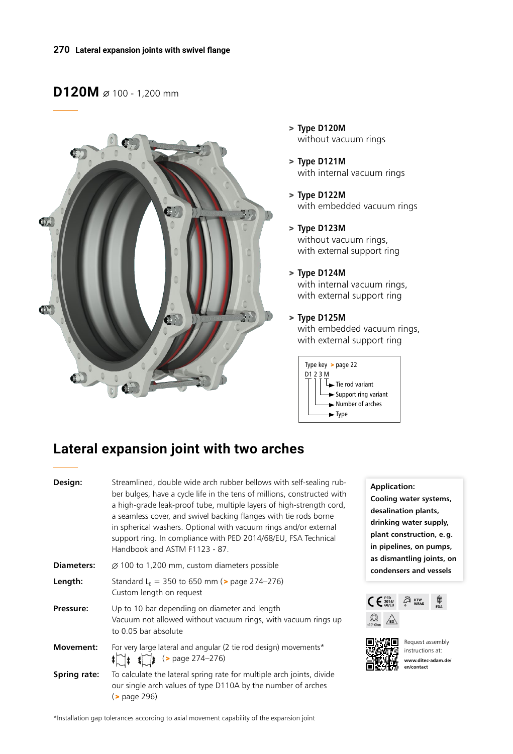### **D120M**  $\varnothing$  100 - 1,200 mm



- > **Type D120M** without vacuum rings
- > **Type D121M** with internal vacuum rings
- > **Type D122M** with embedded vacuum rings
- > **Type D123M** without vacuum rings, with external support ring
- > **Type D124M** with internal vacuum rings, with external support ring
- > **Type D125M** with embedded vacuum rings, with external support ring



# **Lateral expansion joint with two arches**

| Design:           | Streamlined, double wide arch rubber bellows with self-sealing rub-<br>ber bulges, have a cycle life in the tens of millions, constructed with<br>a high-grade leak-proof tube, multiple layers of high-strength cord,<br>a seamless cover, and swivel backing flanges with tie rods borne<br>in spherical washers. Optional with vacuum rings and/or external<br>support ring. In compliance with PED 2014/68/EU, FSA Technical<br>Handbook and ASTM F1123 - 87. |
|-------------------|-------------------------------------------------------------------------------------------------------------------------------------------------------------------------------------------------------------------------------------------------------------------------------------------------------------------------------------------------------------------------------------------------------------------------------------------------------------------|
| <b>Diameters:</b> | $\varnothing$ 100 to 1,200 mm, custom diameters possible                                                                                                                                                                                                                                                                                                                                                                                                          |
| Length:           | Standard L <sub>E</sub> = 350 to 650 mm ( $>$ page 274-276)<br>Custom length on request                                                                                                                                                                                                                                                                                                                                                                           |
| Pressure:         | Up to 10 bar depending on diameter and length<br>Vacuum not allowed without vacuum rings, with vacuum rings up<br>to 0.05 bar absolute                                                                                                                                                                                                                                                                                                                            |
| Movement:         | For very large lateral and angular (2 tie rod design) movements*<br>$\lim_{x \to 0}$ (> page 274-276)                                                                                                                                                                                                                                                                                                                                                             |
| Spring rate:      | To calculate the lateral spring rate for multiple arch joints, divide<br>our single arch values of type D110A by the number of arches<br>( <b>&gt;</b> page 296)                                                                                                                                                                                                                                                                                                  |

#### **Application:**

**Cooling water systems, desalination plants, drinking water supply, plant construction, e.g. in pipelines, on pumps, as dismantling joints, on condensers and vessels**





Request assembly instructions at: **www.ditec-adam.de/ en/contact**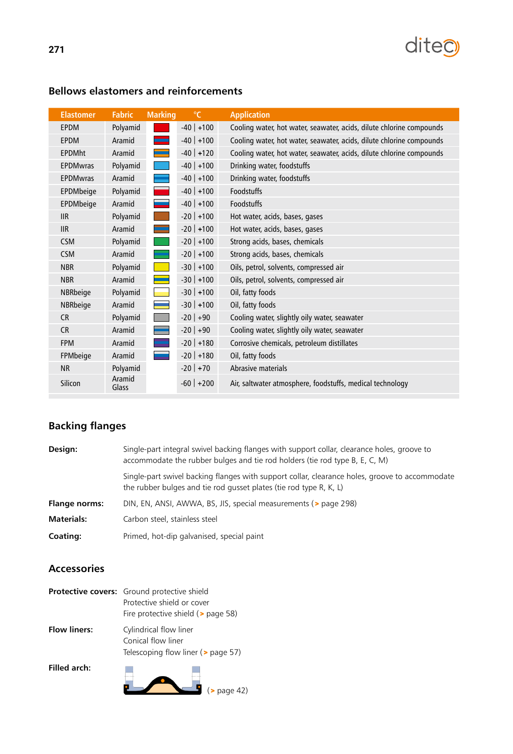

| <b>Elastomer</b> | <b>Fabric</b>   | <b>Marking</b> | $\mathrm{C}$   | <b>Application</b>                                                   |
|------------------|-----------------|----------------|----------------|----------------------------------------------------------------------|
| <b>EPDM</b>      | Polyamid        |                | $-40$ +100     | Cooling water, hot water, seawater, acids, dilute chlorine compounds |
| <b>EPDM</b>      | Aramid          |                | $-40$ +100     | Cooling water, hot water, seawater, acids, dilute chlorine compounds |
| <b>EPDMht</b>    | Aramid          |                | $-40$ +120     | Cooling water, hot water, seawater, acids, dilute chlorine compounds |
| <b>EPDMwras</b>  | Polyamid        |                | $-40$ +100     | Drinking water, foodstuffs                                           |
| <b>EPDMwras</b>  | Aramid          |                | $-40$ +100     | Drinking water, foodstuffs                                           |
| EPDMbeige        | Polyamid        |                | $-40$   $+100$ | <b>Foodstuffs</b>                                                    |
| EPDMbeige        | Aramid          |                | $-40$ +100     | Foodstuffs                                                           |
| <b>IIR</b>       | Polyamid        |                | $-20$ +100     | Hot water, acids, bases, gases                                       |
| <b>IIR</b>       | Aramid          |                | $-20$   $+100$ | Hot water, acids, bases, gases                                       |
| <b>CSM</b>       | Polyamid        |                | $-20$ +100     | Strong acids, bases, chemicals                                       |
| <b>CSM</b>       | Aramid          |                | $-20$ +100     | Strong acids, bases, chemicals                                       |
| <b>NBR</b>       | Polyamid        |                | $-30$   $+100$ | Oils, petrol, solvents, compressed air                               |
| <b>NBR</b>       | Aramid          |                | $-30$ +100     | Oils, petrol, solvents, compressed air                               |
| NBRbeige         | Polyamid        |                | $-30$ +100     | Oil, fatty foods                                                     |
| NBRbeige         | Aramid          |                | $-30$   $+100$ | Oil, fatty foods                                                     |
| <b>CR</b>        | Polyamid        |                | $-20$ +90      | Cooling water, slightly oily water, seawater                         |
| <b>CR</b>        | Aramid          |                | $-20$ +90      | Cooling water, slightly oily water, seawater                         |
| <b>FPM</b>       | Aramid          |                | $-20$   $+180$ | Corrosive chemicals, petroleum distillates                           |
| FPMbeige         | Aramid          |                | $-20$   $+180$ | Oil, fatty foods                                                     |
| <b>NR</b>        | Polyamid        |                | $-20$ +70      | Abrasive materials                                                   |
| Silicon          | Aramid<br>Glass |                | $-60$ +200     | Air, saltwater atmosphere, foodstuffs, medical technology            |

### **Bellows elastomers and reinforcements**

# **Backing flanges**

| Design:              | Single-part integral swivel backing flanges with support collar, clearance holes, groove to<br>accommodate the rubber bulges and tie rod holders (tie rod type B, E, C, M) |
|----------------------|----------------------------------------------------------------------------------------------------------------------------------------------------------------------------|
|                      | Single-part swivel backing flanges with support collar, clearance holes, groove to accommodate<br>the rubber bulges and tie rod gusset plates (tie rod type R, K, L)       |
| <b>Flange norms:</b> | DIN, EN, ANSI, AWWA, BS, JIS, special measurements (> page 298)                                                                                                            |
| <b>Materials:</b>    | Carbon steel, stainless steel                                                                                                                                              |
| Coating:             | Primed, hot-dip galvanised, special paint                                                                                                                                  |
|                      |                                                                                                                                                                            |

### **Accessories**

|                     | <b>Protective covers:</b> Ground protective shield<br>Protective shield or cover<br>Fire protective shield $($ > page 58) |
|---------------------|---------------------------------------------------------------------------------------------------------------------------|
| <b>Flow liners:</b> | Cylindrical flow liner<br>Conical flow liner<br>Telescoping flow liner ( $\geq$ page 57)                                  |
| Filled arch:        | page 42)                                                                                                                  |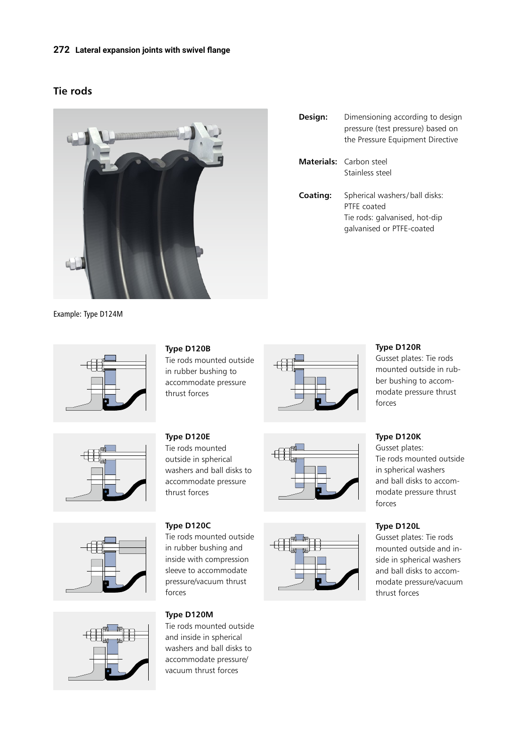#### **272 Lateral expansion joints with swivel flange**

### **Tie rods**



- **Design:** Dimensioning according to design pressure (test pressure) based on the Pressure Equipment Directive **Materials:** Carbon steel Stainless steel **Coating:** Spherical washers/ball disks:
	- PTFE coated Tie rods: galvanised, hot-dip galvanised or PTFE-coated

Example: Type D124M









**Type D120B**

Tie rods mounted outside in rubber bushing to accommodate pressure thrust forces

 $\oplus$ 





#### **Type D120R**

Gusset plates: Tie rods mounted outside in rubber bushing to accommodate pressure thrust forces

**Type D120K** Gusset plates: Tie rods mounted outside in spherical washers and ball disks to accommodate pressure thrust forces

### **Type D120L**

Gusset plates: Tie rods mounted outside and inside in spherical washers and ball disks to accommodate pressure/vacuum thrust forces

**Type D120E** Tie rods mounted outside in spherical washers and ball disks to accommodate pressure thrust forces

**Type D120C**

Tie rods mounted outside in rubber bushing and inside with compression sleeve to accommodate pressure/vacuum thrust forces

**Type D120M**

Tie rods mounted outside and inside in spherical washers and ball disks to accommodate pressure/ vacuum thrust forces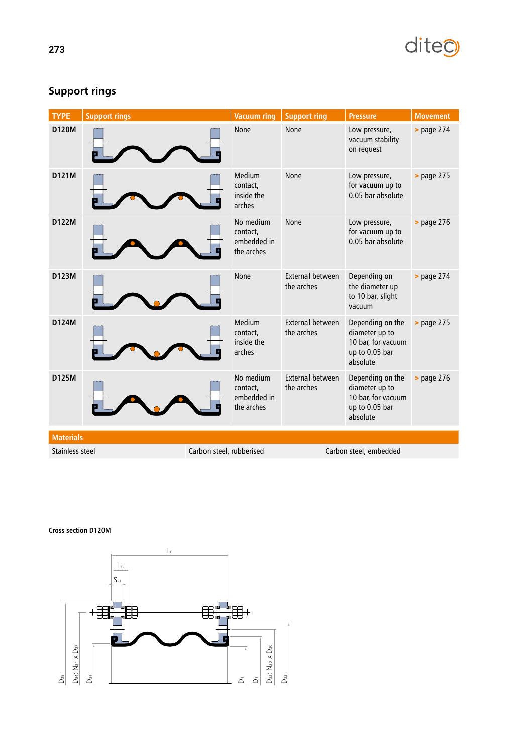# diteo

| <b>TYPE</b>      | <b>Support rings</b> |                          | <b>Vacuum ring</b>                                 | <b>Support ring</b>                   | <b>Pressure</b>                                                                        | <b>Movement</b>      |
|------------------|----------------------|--------------------------|----------------------------------------------------|---------------------------------------|----------------------------------------------------------------------------------------|----------------------|
| <b>D120M</b>     |                      |                          | None                                               | <b>None</b>                           | Low pressure,<br>vacuum stability<br>on request                                        | $>$ page 274         |
| D121M            |                      |                          | Medium<br>contact,<br>inside the<br>arches         | None                                  | Low pressure,<br>for vacuum up to<br>0.05 bar absolute                                 | <b>&gt;</b> page 275 |
| <b>D122M</b>     |                      |                          | No medium<br>contact,<br>embedded in<br>the arches | None                                  | Low pressure,<br>for vacuum up to<br>0.05 bar absolute                                 | $>$ page 276         |
| D123M            |                      |                          | None                                               | External between<br>the arches        | Depending on<br>the diameter up<br>to 10 bar, slight<br>vacuum                         | $>$ page $274$       |
| D124M            |                      |                          | Medium<br>contact,<br>inside the<br>arches         | <b>External between</b><br>the arches | Depending on the<br>diameter up to<br>10 bar, for vacuum<br>up to 0.05 bar<br>absolute | <b>&gt;</b> page 275 |
| D125M            |                      |                          | No medium<br>contact,<br>embedded in<br>the arches | <b>External between</b><br>the arches | Depending on the<br>diameter up to<br>10 bar, for vacuum<br>up to 0.05 bar<br>absolute | $>$ page 276         |
| <b>Materials</b> |                      |                          |                                                    |                                       |                                                                                        |                      |
| Stainless steel  |                      | Carbon steel, rubberised |                                                    |                                       | Carbon steel, embedded                                                                 |                      |

# **Support rings**

**Cross section D120M**

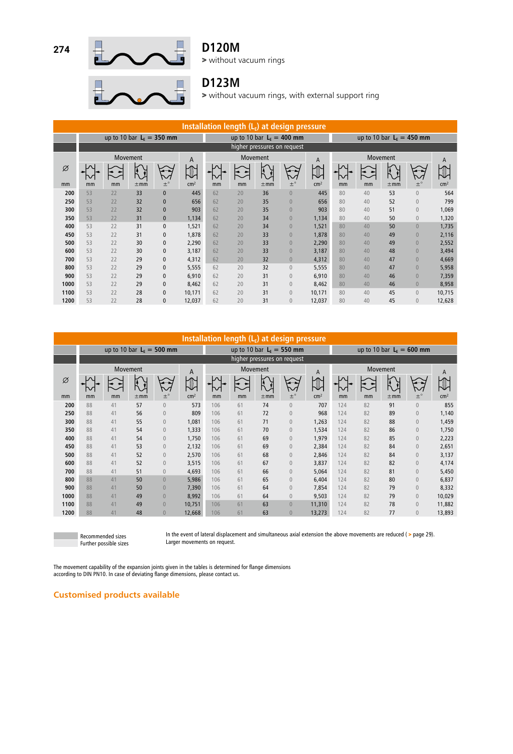

### **D120M**

> without vacuum rings

# **D123M**

> without vacuum rings, with external support ring

| Installation length $(L_F)$ at design pressure |    |                            |          |               |                 |               |                |          |                             |                 |                            |    |          |                |                 |
|------------------------------------------------|----|----------------------------|----------|---------------|-----------------|---------------|----------------|----------|-----------------------------|-----------------|----------------------------|----|----------|----------------|-----------------|
|                                                |    | up to 10 bar $LE = 350$ mm |          |               |                 |               |                |          | up to 10 bar $L_F = 400$ mm |                 | up to 10 bar $LF = 450$ mm |    |          |                |                 |
|                                                |    |                            |          |               |                 |               |                |          | higher pressures on request |                 |                            |    |          |                |                 |
|                                                |    | Movement                   |          |               | A               | Movement<br>A |                |          |                             |                 | Movement                   |    |          |                | A               |
| Ø                                              |    |                            |          |               |                 | ν             | $\blacksquare$ |          | ◡                           |                 |                            |    | Ř        |                |                 |
| mm                                             | mm | mm                         | $\pm$ mm | $\pm^{\circ}$ | cm <sup>2</sup> | mm            | mm             | $\pm$ mm | $\pm^{\circ}$               | cm <sup>2</sup> | mm                         | mm | $\pm$ mm | $\pm^{\circ}$  | cm <sup>2</sup> |
| 200                                            | 53 | 22                         | 33       | $\bf{0}$      | 445             | 62            | 20             | 36       | $\overline{0}$              | 445             | 80                         | 40 | 53       | $\theta$       | 564             |
| 250                                            | 53 | 22                         | 32       | $\pmb{0}$     | 656             | 62            | 20             | 35       | $\overline{0}$              | 656             | 80                         | 40 | 52       | $\theta$       | 799             |
| 300                                            | 53 | 22                         | 32       | $\pmb{0}$     | 903             | 62            | 20             | 35       | $\overline{0}$              | 903             | 80                         | 40 | 51       | $\theta$       | 1,069           |
| 350                                            | 53 | 22                         | 31       | $\pmb{0}$     | 1,134           | 62            | 20             | 34       | $\overline{0}$              | 1,134           | 80                         | 40 | 50       | $\theta$       | 1,320           |
| 400                                            | 53 | 22                         | 31       | $\pmb{0}$     | 1,521           | 62            | 20             | 34       | $\overline{0}$              | 1,521           | 80                         | 40 | 50       | $\theta$       | 1,735           |
| 450                                            | 53 | 22                         | 31       | $\mathbf 0$   | 1,878           | 62            | 20             | 33       | $\overline{0}$              | 1,878           | 80                         | 40 | 49       | $\theta$       | 2,116           |
| 500                                            | 53 | 22                         | 30       | $\mathbf 0$   | 2,290           | 62            | 20             | 33       | $\overline{0}$              | 2,290           | 80                         | 40 | 49       | $\theta$       | 2,552           |
| 600                                            | 53 | 22                         | 30       | $\mathbf 0$   | 3,187           | 62            | 20             | 33       | $\overline{0}$              | 3,187           | 80                         | 40 | 48       | $\theta$       | 3,494           |
| 700                                            | 53 | 22                         | 29       | $\mathbf 0$   | 4,312           | 62            | 20             | 32       | $\overline{0}$              | 4,312           | 80                         | 40 | 47       | $\theta$       | 4,669           |
| 800                                            | 53 | 22                         | 29       | $\mathbf 0$   | 5,555           | 62            | 20             | 32       | $\overline{0}$              | 5,555           | 80                         | 40 | 47       | $\theta$       | 5,958           |
| 900                                            | 53 | 22                         | 29       | $\pmb{0}$     | 6,910           | 62            | 20             | 31       | $\overline{0}$              | 6,910           | 80                         | 40 | 46       | $\overline{0}$ | 7,359           |
| 1000                                           | 53 | 22                         | 29       | $\pmb{0}$     | 8,462           | 62            | 20             | 31       | $\overline{0}$              | 8,462           | 80                         | 40 | 46       | $\theta$       | 8,958           |
| 1100                                           | 53 | 22                         | 28       | $\mathbf 0$   | 10,171          | 62            | 20             | 31       | $\overline{0}$              | 10,171          | 80                         | 40 | 45       | $\theta$       | 10,715          |
| 1200                                           | 53 | 22                         | 28       | $\pmb{0}$     | 12,037          | 62            | 20             | 31       | $\overline{0}$              | 12,037          | 80                         | 40 | 45       | $\theta$       | 12,628          |

| Installation length $(LE)$ at design pressure |    |          |          |                             |                 |     |    |          |                             |                 |                             |    |                      |                  |                 |
|-----------------------------------------------|----|----------|----------|-----------------------------|-----------------|-----|----|----------|-----------------------------|-----------------|-----------------------------|----|----------------------|------------------|-----------------|
|                                               |    |          |          | up to 10 bar $L_F = 500$ mm |                 |     |    |          | up to 10 bar $LF = 550$ mm  |                 | up to 10 bar $L_F = 600$ mm |    |                      |                  |                 |
|                                               |    |          |          |                             |                 |     |    |          | higher pressures on request |                 |                             |    |                      |                  |                 |
|                                               |    | Movement |          |                             | A               |     |    | Movement |                             | A               | <b>Movement</b>             |    |                      |                  | A               |
| Ø                                             |    |          | Ă        |                             |                 |     | ₹  |          | M                           |                 |                             |    | $\frac{1}{\sqrt{2}}$ |                  |                 |
| mm                                            | mm | mm       | $\pm$ mm | $\pm^{\circ}$               | cm <sup>2</sup> | mm  | mm | $\pm$ mm | $\pm^{\circ}$               | cm <sup>2</sup> | mm                          | mm | $\pm$ mm             | $\pm^{\circ}$    | cm <sup>2</sup> |
| 200                                           | 88 | 41       | 57       | $\theta$                    | 573             | 106 | 61 | 74       | $\mathbb O$                 | 707             | 124                         | 82 | 91                   | $\theta$         | 855             |
| 250                                           | 88 | 41       | 56       | $\overline{0}$              | 809             | 106 | 61 | 72       | $\overline{0}$              | 968             | 124                         | 82 | 89                   | $\overline{0}$   | 1,140           |
| 300                                           | 88 | 41       | 55       | $\bf 0$                     | 1,081           | 106 | 61 | 71       | $\mathbb O$                 | 1,263           | 124                         | 82 | 88                   | $\theta$         | 1,459           |
| 350                                           | 88 | 41       | 54       | $\bf 0$                     | 1,333           | 106 | 61 | 70       | $\mathbb O$                 | 1,534           | 124                         | 82 | 86                   | $\theta$         | 1,750           |
| 400                                           | 88 | 41       | 54       | $\theta$                    | 1,750           | 106 | 61 | 69       | $\theta$                    | 1,979           | 124                         | 82 | 85                   | $\theta$         | 2,223           |
| 450                                           | 88 | 41       | 53       | $\bf 0$                     | 2,132           | 106 | 61 | 69       | $\overline{0}$              | 2,384           | 124                         | 82 | 84                   | $\theta$         | 2,651           |
| 500                                           | 88 | 41       | 52       | $\boldsymbol{0}$            | 2,570           | 106 | 61 | 68       | $\mathbb O$                 | 2,846           | 124                         | 82 | 84                   | $\boldsymbol{0}$ | 3,137           |
| 600                                           | 88 | 41       | 52       | $\boldsymbol{0}$            | 3,515           | 106 | 61 | 67       | $\theta$                    | 3,837           | 124                         | 82 | 82                   | $\theta$         | 4,174           |
| 700                                           | 88 | 41       | 51       | $\theta$                    | 4,693           | 106 | 61 | 66       | $\theta$                    | 5,064           | 124                         | 82 | 81                   | $\theta$         | 5,450           |
| 800                                           | 88 | 41       | 50       | $\theta$                    | 5.986           | 106 | 61 | 65       | $\overline{0}$              | 6,404           | 124                         | 82 | 80                   | $\theta$         | 6,837           |
| 900                                           | 88 | 41       | 50       | $\bf 0$                     | 7,390           | 106 | 61 | 64       | $\overline{0}$              | 7,854           | 124                         | 82 | 79                   | $\theta$         | 8,332           |
| 1000                                          | 88 | 41       | 49       | $\bf 0$                     | 8,992           | 106 | 61 | 64       | $\overline{0}$              | 9,503           | 124                         | 82 | 79                   | $\theta$         | 10,029          |
| 1100                                          | 88 | 41       | 49       | $\theta$                    | 10.751          | 106 | 61 | 63       | $\overline{0}$              | 11,310          | 124                         | 82 | 78                   | $\theta$         | 11,882          |
| 1200                                          | 88 | 41       | 48       | $\theta$                    | 12,668          | 106 | 61 | 63       | $\overline{0}$              | 13,273          | 124                         | 82 | 77                   | $\theta$         | 13,893          |



In the event of lateral displacement and simultaneous axial extension the above movements are reduced ( > page 29). Larger movements on request.

The movement capability of the expansion joints given in the tables is determined for flange dimensions according to DIN PN10. In case of deviating flange dimensions, please contact us.

### **Customised products available**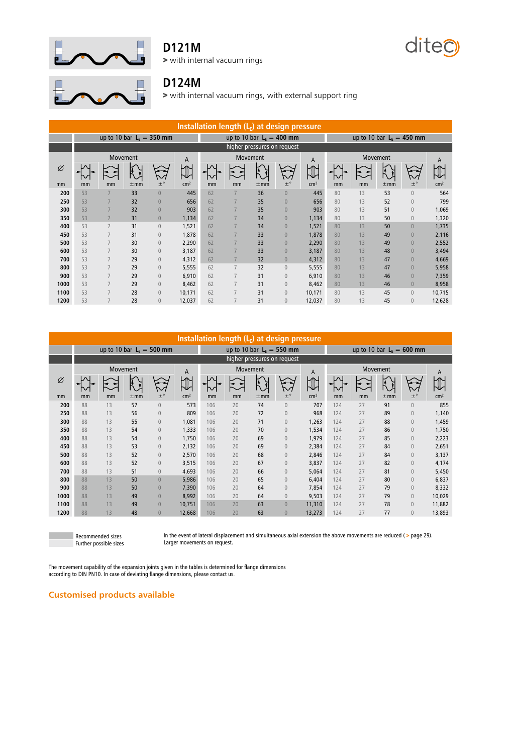

## **D121M**

> with internal vacuum rings





### **D124M**

> with internal vacuum rings, with external support ring

| Installation length $(L_F)$ at design pressure |    |                |          |                            |                 |    |          |          |                             |                 |          |    |          |                            |                 |
|------------------------------------------------|----|----------------|----------|----------------------------|-----------------|----|----------|----------|-----------------------------|-----------------|----------|----|----------|----------------------------|-----------------|
|                                                |    |                |          | up to 10 bar $LF = 350$ mm |                 |    |          |          | up to 10 bar $LF = 400$ mm  |                 |          |    |          | up to 10 bar $LF = 450$ mm |                 |
|                                                |    |                |          |                            |                 |    |          |          | higher pressures on request |                 |          |    |          |                            |                 |
|                                                |    | Movement       |          |                            | A               |    | Movement |          |                             | A               | Movement |    |          |                            | A               |
| Ø                                              |    |                |          |                            |                 |    |          | Ā        | $\overline{v}$              |                 |          |    |          |                            |                 |
| mm                                             | mm | mm             | $\pm$ mm | $\pm^\circ$                | cm <sup>2</sup> | mm | mm       | $\pm$ mm | $\pm^{\circ}$               | cm <sup>2</sup> | mm       | mm | $\pm$ mm | $\pm^\circ$                | cm <sup>2</sup> |
| 200                                            | 53 |                | 33       | $\overline{0}$             | 445             | 62 |          | 36       | $\overline{0}$              | 445             | 80       | 13 | 53       | $\overline{0}$             | 564             |
| 250                                            | 53 |                | 32       | $\overline{0}$             | 656             | 62 | 7        | 35       | $\overline{0}$              | 656             | 80       | 13 | 52       | $\overline{0}$             | 799             |
| 300                                            | 53 |                | 32       | $\overline{0}$             | 903             | 62 | 7        | 35       | $\overline{0}$              | 903             | 80       | 13 | 51       | $\overline{0}$             | 1,069           |
| 350                                            | 53 |                | 31       | $\overline{0}$             | 1,134           | 62 | 7        | 34       | $\overline{0}$              | 1,134           | 80       | 13 | 50       | $\overline{0}$             | 1,320           |
| 400                                            | 53 |                | 31       | $\mathbf{0}$               | 1,521           | 62 | 7        | 34       | $\overline{0}$              | 1,521           | 80       | 13 | 50       | $\overline{0}$             | 1,735           |
| 450                                            | 53 |                | 31       | $\mathbf{0}$               | 1.878           | 62 | 7        | 33       | $\overline{0}$              | 1,878           | 80       | 13 | 49       | $\overline{0}$             | 2,116           |
| 500                                            | 53 | $\overline{7}$ | 30       | $\mathbf{0}$               | 2,290           | 62 | 7        | 33       | $\overline{0}$              | 2,290           | 80       | 13 | 49       | $\overline{0}$             | 2,552           |
| 600                                            | 53 |                | 30       | $\mathbf{0}$               | 3,187           | 62 | 7        | 33       | $\overline{0}$              | 3,187           | 80       | 13 | 48       | $\overline{0}$             | 3,494           |
| 700                                            | 53 |                | 29       | $\mathbf{0}$               | 4,312           | 62 | 7        | 32       | $\overline{0}$              | 4,312           | 80       | 13 | 47       | $\overline{0}$             | 4,669           |
| 800                                            | 53 |                | 29       | $\overline{0}$             | 5,555           | 62 | 7        | 32       | $\overline{0}$              | 5,555           | 80       | 13 | 47       | $\overline{0}$             | 5,958           |
| 900                                            | 53 | 7              | 29       | $\overline{0}$             | 6,910           | 62 | 7        | 31       | $\mathbf{0}$                | 6,910           | 80       | 13 | 46       | $\overline{0}$             | 7,359           |
| 1000                                           | 53 | 7              | 29       | $\mathbf 0$                | 8,462           | 62 | 7        | 31       | $\mathbf{0}$                | 8,462           | 80       | 13 | 46       | $\overline{0}$             | 8,958           |
| 1100                                           | 53 |                | 28       | $\overline{0}$             | 10,171          | 62 | 7        | 31       | $\overline{0}$              | 10,171          | 80       | 13 | 45       | $\overline{0}$             | 10,715          |
| 1200                                           | 53 | 7              | 28       | $\overline{0}$             | 12,037          | 62 | 7        | 31       | $\overline{0}$              | 12,037          | 80       | 13 | 45       | $\overline{0}$             | 12,628          |

| Installation length (LE) at design pressure |    |                            |          |                  |                 |     |    |          |                             |                 |                            |             |          |                |                 |
|---------------------------------------------|----|----------------------------|----------|------------------|-----------------|-----|----|----------|-----------------------------|-----------------|----------------------------|-------------|----------|----------------|-----------------|
|                                             |    | up to 10 bar $LE = 500$ mm |          |                  |                 |     |    |          | up to 10 bar $LF = 550$ mm  |                 | up to 10 bar $LE = 600$ mm |             |          |                |                 |
|                                             |    |                            |          |                  |                 |     |    |          | higher pressures on request |                 |                            |             |          |                |                 |
|                                             |    | Movement                   |          |                  | A               |     |    | Movement |                             | A               |                            |             | Movement |                | A               |
| Ø                                           |    |                            |          | $\mathcal{N}$    |                 |     | ◄  |          | $\sim$                      |                 |                            | $\check{ }$ |          |                |                 |
| mm                                          | mm | mm                         | $\pm$ mm | $\pm^{\circ}$    | cm <sup>2</sup> | mm  | mm | $\pm$ mm | $\pm^\circ$                 | cm <sup>2</sup> | mm                         | mm          | $\pm$ mm | $\pm^{\circ}$  | cm <sup>2</sup> |
| 200                                         | 88 | 13                         | 57       | $\theta$         | 573             | 106 | 20 | 74       | $\overline{0}$              | 707             | 124                        | 27          | 91       | $\overline{0}$ | 855             |
| 250                                         | 88 | 13                         | 56       | $\boldsymbol{0}$ | 809             | 106 | 20 | 72       | $\overline{0}$              | 968             | 124                        | 27          | 89       | $\overline{0}$ | 1,140           |
| 300                                         | 88 | 13                         | 55       | $\boldsymbol{0}$ | 1,081           | 106 | 20 | 71       | $\overline{0}$              | 1,263           | 124                        | 27          | 88       | $\overline{0}$ | 1,459           |
| 350                                         | 88 | 13                         | 54       | $\mathbf{0}$     | 1,333           | 106 | 20 | 70       | $\overline{0}$              | 1,534           | 124                        | 27          | 86       | $\overline{0}$ | 1,750           |
| 400                                         | 88 | 13                         | 54       | $\theta$         | 1,750           | 106 | 20 | 69       | $\overline{0}$              | 1,979           | 124                        | 27          | 85       | $\overline{0}$ | 2,223           |
| 450                                         | 88 | 13                         | 53       | $\boldsymbol{0}$ | 2,132           | 106 | 20 | 69       | $\overline{0}$              | 2,384           | 124                        | 27          | 84       | $\overline{0}$ | 2,651           |
| 500                                         | 88 | 13                         | 52       | $\theta$         | 2,570           | 106 | 20 | 68       | $\overline{0}$              | 2,846           | 124                        | 27          | 84       | $\overline{0}$ | 3,137           |
| 600                                         | 88 | 13                         | 52       | $\boldsymbol{0}$ | 3,515           | 106 | 20 | 67       | $\overline{0}$              | 3,837           | 124                        | 27          | 82       | $\theta$       | 4,174           |
| 700                                         | 88 | 13                         | 51       | $\bf 0$          | 4,693           | 106 | 20 | 66       | $\overline{0}$              | 5,064           | 124                        | 27          | 81       | $\mathbf{0}$   | 5,450           |
| 800                                         | 88 | 13                         | 50       | $\theta$         | 5.986           | 106 | 20 | 65       | $\overline{0}$              | 6,404           | 124                        | 27          | 80       | $\theta$       | 6,837           |
| 900                                         | 88 | 13                         | 50       | $\bf 0$          | 7,390           | 106 | 20 | 64       | $\overline{0}$              | 7,854           | 124                        | 27          | 79       | $\mathbf{0}$   | 8,332           |
| 1000                                        | 88 | 13                         | 49       | $\theta$         | 8,992           | 106 | 20 | 64       | $\overline{0}$              | 9,503           | 124                        | 27          | 79       | $\mathbf{0}$   | 10,029          |
| 1100                                        | 88 | 13                         | 49       | $\theta$         | 10,751          | 106 | 20 | 63       | $\overline{0}$              | 11,310          | 124                        | 27          | 78       | $\mathbf{0}$   | 11,882          |
| 1200                                        | 88 | 13                         | 48       | $\theta$         | 12,668          | 106 | 20 | 63       | $\overline{0}$              | 13,273          | 124                        | 27          | 77       | $\mathbf{0}$   | 13,893          |

Recommended sizes Further possible sizes In the event of lateral displacement and simultaneous axial extension the above movements are reduced ( > page 29). Larger movements on request.

The movement capability of the expansion joints given in the tables is determined for flange dimensions according to DIN PN10. In case of deviating flange dimensions, please contact us.

#### **Customised products available**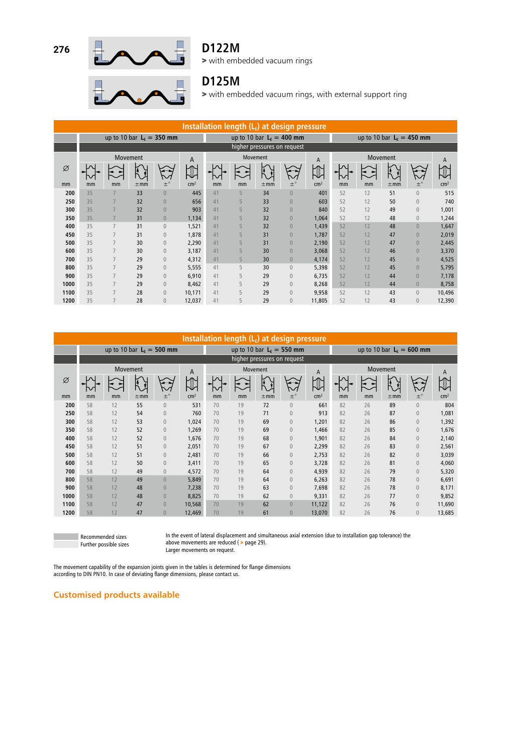

### **D122M**

> with embedded vacuum rings



### **D125M**

> with embedded vacuum rings, with external support ring

| Installation length (LE) at design pressure |    |                |                 |                            |                 |    |          |          |                             |                 |                            |    |               |                |                 |
|---------------------------------------------|----|----------------|-----------------|----------------------------|-----------------|----|----------|----------|-----------------------------|-----------------|----------------------------|----|---------------|----------------|-----------------|
|                                             |    |                |                 | up to 10 bar $LE = 350$ mm |                 |    |          |          | up to 10 bar $L_F = 400$ mm |                 | up to 10 bar $LF = 450$ mm |    |               |                |                 |
|                                             |    |                |                 |                            |                 |    |          |          | higher pressures on request |                 |                            |    |               |                |                 |
|                                             |    |                | <b>Movement</b> |                            | A               |    | Movement |          |                             | A               | Movement                   |    |               |                | A               |
| Ø<br>mm                                     | mm | mm             | $\pm$ mm        | $\pm^{\circ}$              | cm <sup>2</sup> | mm | mm       | $\pm$ mm | $+^{\circ}$                 | cm <sup>2</sup> | mm                         | mm | Ă<br>$\pm$ mm | $+^{\circ}$    | cm <sup>2</sup> |
| 200                                         | 35 |                | 33              | $\overline{0}$             | 445             | 41 | 5        | 34       | $\overline{0}$              | 401             | 52                         | 12 | 51            | $\theta$       | 515             |
| 250                                         | 35 |                | 32              | $\mathbf 0$                | 656             | 41 | 5        | 33       | $\overline{0}$              | 603             | 52                         | 12 | 50            | $\theta$       | 740             |
| 300                                         | 35 |                | 32              | $\overline{0}$             | 903             | 41 | 5        | 32       | $\overline{0}$              | 840             | 52                         | 12 | 49            | $\theta$       | 1,001           |
| 350                                         | 35 |                | 31              | $\sqrt{0}$                 | 1,134           | 41 | 5        | 32       | $\overline{0}$              | 1,064           | 52                         | 12 | 48            | $\theta$       | 1,244           |
| 400                                         | 35 | $\overline{7}$ | 31              | $\sqrt{0}$                 | 1,521           | 41 | 5        | 32       | $\overline{0}$              | 1,439           | 52                         | 12 | 48            | $\overline{0}$ | 1,647           |
| 450                                         | 35 | 7              | 31              | $\sqrt{0}$                 | 1,878           | 41 | 5        | 31       | $\overline{0}$              | 1,787           | 52                         | 12 | 47            | $\overline{0}$ | 2,019           |
| 500                                         | 35 |                | 30              | $\mathbb O$                | 2,290           | 41 | 5        | 31       | $\overline{0}$              | 2,190           | 52                         | 12 | 47            | $\overline{0}$ | 2,445           |
| 600                                         | 35 | 7              | 30              | $\overline{0}$             | 3,187           | 41 | 5        | 30       | $\overline{0}$              | 3,068           | 52                         | 12 | 46            | $\overline{0}$ | 3,370           |
| 700                                         | 35 | $\overline{7}$ | 29              | $\sqrt{0}$                 | 4,312           | 41 | 5        | 30       | $\overline{0}$              | 4,174           | 52                         | 12 | 45            | $\overline{0}$ | 4,525           |
| 800                                         | 35 |                | 29              | $\mathbb O$                | 5,555           | 41 | 5        | 30       | $\overline{0}$              | 5,398           | 52                         | 12 | 45            | $\overline{0}$ | 5,795           |
| 900                                         | 35 | 7              | 29              | $\overline{0}$             | 6,910           | 41 | 5        | 29       | $\overline{0}$              | 6,735           | 52                         | 12 | 44            | $\overline{0}$ | 7,178           |
| 1000                                        | 35 | $\overline{7}$ | 29              | $\overline{0}$             | 8,462           | 41 | 5        | 29       | $\overline{0}$              | 8,268           | 52                         | 12 | 44            | $\theta$       | 8,758           |
| 1100                                        | 35 | 7              | 28              | $\mathbb O$                | 10,171          | 41 | 5        | 29       | $\overline{0}$              | 9,958           | 52                         | 12 | 43            | $\theta$       | 10,496          |
| 1200                                        | 35 | 7              | 28              | $\overline{0}$             | 12,037          | 41 | 5        | 29       | $\overline{0}$              | 11,805          | 52                         | 12 | 43            | $\mathbf{0}$   | 12,390          |

| Installation length $(L_F)$ at design pressure |    |                            |              |                |                 |    |              |          |                             |                 |                            |          |          |                  |                 |
|------------------------------------------------|----|----------------------------|--------------|----------------|-----------------|----|--------------|----------|-----------------------------|-----------------|----------------------------|----------|----------|------------------|-----------------|
|                                                |    | up to 10 bar $LF = 500$ mm |              |                |                 |    |              |          | up to 10 bar $LF = 550$ mm  |                 | up to 10 bar $LE = 600$ mm |          |          |                  |                 |
|                                                |    |                            |              |                |                 |    |              |          | higher pressures on request |                 |                            |          |          |                  |                 |
|                                                |    | Movement                   |              |                | A               |    |              | Movement |                             | A               |                            | Movement |          |                  |                 |
| Ø                                              |    |                            | $\mathbb{N}$ |                |                 |    | $\mathbf{I}$ |          | $\sim$                      |                 |                            |          | k        |                  | A               |
| mm                                             | mm | mm                         | $\pm$ mm     | $\pm^{\circ}$  | cm <sup>2</sup> | mm | mm           | $\pm$ mm | $\pm^{\circ}$               | cm <sup>2</sup> | mm                         | mm       | $\pm$ mm | $\pm^{\circ}$    | cm <sup>2</sup> |
| 200                                            | 58 | 12                         | 55           | $\mathbf{0}$   | 531             | 70 | 19           | 72       | $\mathbf{0}$                | 661             | 82                         | 26       | 89       | $\mathbf{0}$     | 804             |
| 250                                            | 58 | 12                         | 54           | $\mathbf{0}$   | 760             | 70 | 19           | 71       | $\overline{0}$              | 913             | 82                         | 26       | 87       | $\mathbf{0}$     | 1,081           |
| 300                                            | 58 | 12                         | 53           | $\sqrt{0}$     | 1,024           | 70 | 19           | 69       | $\overline{0}$              | 1,201           | 82                         | 26       | 86       | $\mathbf{0}$     | 1,392           |
| 350                                            | 58 | 12                         | 52           | $\bf 0$        | 1,269           | 70 | 19           | 69       | $\overline{0}$              | 1,466           | 82                         | 26       | 85       | $\mathbf{0}$     | 1,676           |
| 400                                            | 58 | 12                         | 52           | $\bf 0$        | 1,676           | 70 | 19           | 68       | $\overline{0}$              | 1,901           | 82                         | 26       | 84       | $\mathbf{0}$     | 2,140           |
| 450                                            | 58 | 12                         | 51           | $\sqrt{0}$     | 2,051           | 70 | 19           | 67       | $\overline{0}$              | 2,299           | 82                         | 26       | 83       | $\mathbf{0}$     | 2,561           |
| 500                                            | 58 | 12                         | 51           | $\bf 0$        | 2,481           | 70 | 19           | 66       | $\overline{0}$              | 2,753           | 82                         | 26       | 82       | $\overline{0}$   | 3,039           |
| 600                                            | 58 | 12                         | 50           | $\bf 0$        | 3,411           | 70 | 19           | 65       | $\mathbb O$                 | 3,728           | 82                         | 26       | 81       | $\boldsymbol{0}$ | 4,060           |
| 700                                            | 58 | 12                         | 49           | $\overline{0}$ | 4,572           | 70 | 19           | 64       | $\overline{0}$              | 4,939           | 82                         | 26       | 79       | $\overline{0}$   | 5,320           |
| 800                                            | 58 | 12                         | 49           | $\overline{0}$ | 5,849           | 70 | 19           | 64       | $\overline{0}$              | 6,263           | 82                         | 26       | 78       | $\overline{0}$   | 6,691           |
| 900                                            | 58 | 12                         | 48           | $\theta$       | 7,238           | 70 | 19           | 63       | $\overline{0}$              | 7,698           | 82                         | 26       | 78       | $\theta$         | 8,171           |
| 1000                                           | 58 | 12                         | 48           | $\overline{0}$ | 8.825           | 70 | 19           | 62       | $\overline{0}$              | 9,331           | 82                         | 26       | 77       | $\overline{0}$   | 9,852           |
| 1100                                           | 58 | 12                         | 47           | $\overline{0}$ | 10,568          | 70 | 19           | 62       | $\overline{0}$              | 11,122          | 82                         | 26       | 76       | $\theta$         | 11,690          |
| 1200                                           | 58 | 12                         | 47           | $\overline{0}$ | 12,469          | 70 | 19           | 61       | $\overline{0}$              | 13,070          | 82                         | 26       | 76       | $\overline{0}$   | 13,685          |

Recommended sizes Further possible sizes In the event of lateral displacement and simultaneous axial extension (due to installation gap tolerance) the above movements are reduced ( > page 29). Larger movements on request.

The movement capability of the expansion joints given in the tables is determined for flange dimensions according to DIN PN10. In case of deviating flange dimensions, please contact us.

### **Customised products available**